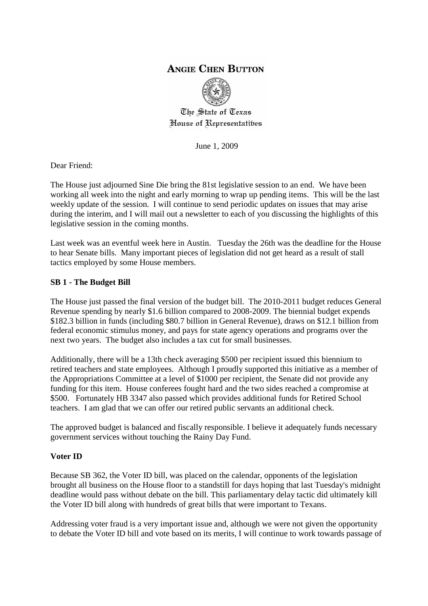# **ANGIE CHEN BUTTON**



The State of Texas House of Representatibes

June 1, 2009

Dear Friend:

The House just adjourned Sine Die bring the 81st legislative session to an end. We have been working all week into the night and early morning to wrap up pending items. This will be the last weekly update of the session. I will continue to send periodic updates on issues that may arise during the interim, and I will mail out a newsletter to each of you discussing the highlights of this legislative session in the coming months.

Last week was an eventful week here in Austin. Tuesday the 26th was the deadline for the House to hear Senate bills. Many important pieces of legislation did not get heard as a result of stall tactics employed by some House members.

## **SB 1 - The Budget Bill**

The House just passed the final version of the budget bill. The 2010-2011 budget reduces General Revenue spending by nearly \$1.6 billion compared to 2008-2009. The biennial budget expends \$182.3 billion in funds (including \$80.7 billion in General Revenue), draws on \$12.1 billion from federal economic stimulus money, and pays for state agency operations and programs over the next two years. The budget also includes a tax cut for small businesses.

Additionally, there will be a 13th check averaging \$500 per recipient issued this biennium to retired teachers and state employees. Although I proudly supported this initiative as a member of the Appropriations Committee at a level of \$1000 per recipient, the Senate did not provide any funding for this item. House conferees fought hard and the two sides reached a compromise at \$500. Fortunately HB 3347 also passed which provides additional funds for Retired School teachers. I am glad that we can offer our retired public servants an additional check.

The approved budget is balanced and fiscally responsible. I believe it adequately funds necessary government services without touching the Rainy Day Fund.

## **Voter ID**

Because SB 362, the Voter ID bill, was placed on the calendar, opponents of the legislation brought all business on the House floor to a standstill for days hoping that last Tuesday's midnight deadline would pass without debate on the bill. This parliamentary delay tactic did ultimately kill the Voter ID bill along with hundreds of great bills that were important to Texans.

Addressing voter fraud is a very important issue and, although we were not given the opportunity to debate the Voter ID bill and vote based on its merits, I will continue to work towards passage of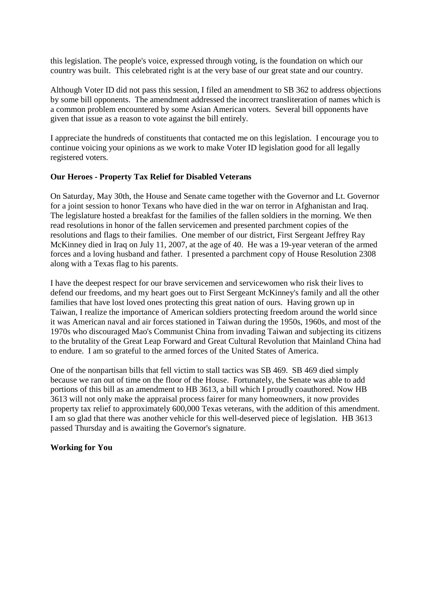this legislation. The people's voice, expressed through voting, is the foundation on which our country was built. This celebrated right is at the very base of our great state and our country.

Although Voter ID did not pass this session, I filed an amendment to SB 362 to address objections by some bill opponents. The amendment addressed the incorrect transliteration of names which is a common problem encountered by some Asian American voters. Several bill opponents have given that issue as a reason to vote against the bill entirely.

I appreciate the hundreds of constituents that contacted me on this legislation. I encourage you to continue voicing your opinions as we work to make Voter ID legislation good for all legally registered voters.

#### **Our Heroes - Property Tax Relief for Disabled Veterans**

On Saturday, May 30th, the House and Senate came together with the Governor and Lt. Governor for a joint session to honor Texans who have died in the war on terror in Afghanistan and Iraq. The legislature hosted a breakfast for the families of the fallen soldiers in the morning. We then read resolutions in honor of the fallen servicemen and presented parchment copies of the resolutions and flags to their families. One member of our district, First Sergeant Jeffrey Ray McKinney died in Iraq on July 11, 2007, at the age of 40. He was a 19-year veteran of the armed forces and a loving husband and father. I presented a parchment copy of House Resolution 2308 along with a Texas flag to his parents.

I have the deepest respect for our brave servicemen and servicewomen who risk their lives to defend our freedoms, and my heart goes out to First Sergeant McKinney's family and all the other families that have lost loved ones protecting this great nation of ours. Having grown up in Taiwan, I realize the importance of American soldiers protecting freedom around the world since it was American naval and air forces stationed in Taiwan during the 1950s, 1960s, and most of the 1970s who discouraged Mao's Communist China from invading Taiwan and subjecting its citizens to the brutality of the Great Leap Forward and Great Cultural Revolution that Mainland China had to endure. I am so grateful to the armed forces of the United States of America.

One of the nonpartisan bills that fell victim to stall tactics was SB 469. SB 469 died simply because we ran out of time on the floor of the House. Fortunately, the Senate was able to add portions of this bill as an amendment to HB 3613, a bill which I proudly coauthored. Now HB 3613 will not only make the appraisal process fairer for many homeowners, it now provides property tax relief to approximately 600,000 Texas veterans, with the addition of this amendment. I am so glad that there was another vehicle for this well-deserved piece of legislation. HB 3613 passed Thursday and is awaiting the Governor's signature.

#### **Working for You**